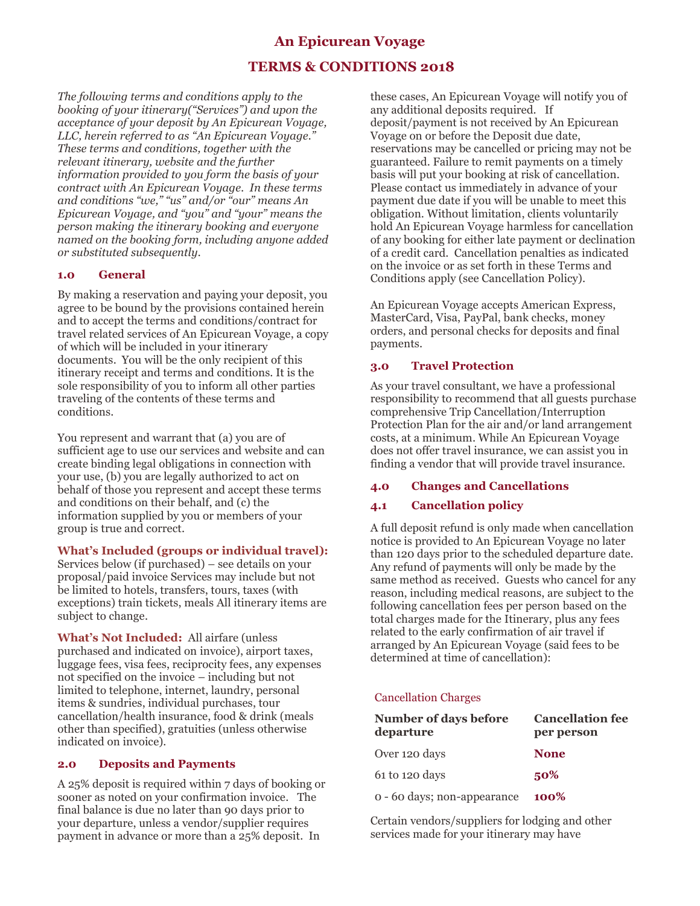## **An Epicurean Voyage**

# **TERMS & CONDITIONS 2018**

*The following terms and conditions apply to the booking of your itinerary("Services") and upon the acceptance of your deposit by An Epicurean Voyage, LLC, herein referred to as "An Epicurean Voyage." These terms and conditions, together with the relevant itinerary, website and the further information provided to you form the basis of your contract with An Epicurean Voyage. In these terms and conditions "we," "us" and/or "our" means An Epicurean Voyage, and "you" and "your" means the person making the itinerary booking and everyone named on the booking form, including anyone added or substituted subsequently.*

#### **1.0 General**

By making a reservation and paying your deposit, you agree to be bound by the provisions contained herein and to accept the terms and conditions/contract for travel related services of An Epicurean Voyage, a copy of which will be included in your itinerary documents. You will be the only recipient of this itinerary receipt and terms and conditions. It is the sole responsibility of you to inform all other parties traveling of the contents of these terms and conditions.

You represent and warrant that (a) you are of sufficient age to use our services and website and can create binding legal obligations in connection with your use, (b) you are legally authorized to act on behalf of those you represent and accept these terms and conditions on their behalf, and (c) the information supplied by you or members of your group is true and correct.

#### **What's Included (groups or individual travel):**

Services below (if purchased) – see details on your proposal/paid invoice Services may include but not be limited to hotels, transfers, tours, taxes (with exceptions) train tickets, meals All itinerary items are subject to change.

**What's Not Included:** All airfare (unless purchased and indicated on invoice), airport taxes, luggage fees, visa fees, reciprocity fees, any expenses not specified on the invoice – including but not limited to telephone, internet, laundry, personal items & sundries, individual purchases, tour cancellation/health insurance, food & drink (meals other than specified), gratuities (unless otherwise indicated on invoice).

#### **2.0 Deposits and Payments**

A 25% deposit is required within 7 days of booking or sooner as noted on your confirmation invoice. The final balance is due no later than 90 days prior to your departure, unless a vendor/supplier requires payment in advance or more than a 25% deposit. In

these cases, An Epicurean Voyage will notify you of any additional deposits required. If deposit/payment is not received by An Epicurean Voyage on or before the Deposit due date, reservations may be cancelled or pricing may not be guaranteed. Failure to remit payments on a timely basis will put your booking at risk of cancellation. Please contact us immediately in advance of your payment due date if you will be unable to meet this obligation. Without limitation, clients voluntarily hold An Epicurean Voyage harmless for cancellation of any booking for either late payment or declination of a credit card. Cancellation penalties as indicated on the invoice or as set forth in these Terms and Conditions apply (see Cancellation Policy).

An Epicurean Voyage accepts American Express, MasterCard, Visa, PayPal, bank checks, money orders, and personal checks for deposits and final payments.

#### **3.0 Travel Protection**

As your travel consultant, we have a professional responsibility to recommend that all guests purchase comprehensive Trip Cancellation/Interruption Protection Plan for the air and/or land arrangement costs, at a minimum. While An Epicurean Voyage does not offer travel insurance, we can assist you in finding a vendor that will provide travel insurance.

## **4.0 Changes and Cancellations**

## **4.1 Cancellation policy**

A full deposit refund is only made when cancellation notice is provided to An Epicurean Voyage no later than 120 days prior to the scheduled departure date. Any refund of payments will only be made by the same method as received. Guests who cancel for any reason, including medical reasons, are subject to the following cancellation fees per person based on the total charges made for the Itinerary, plus any fees related to the early confirmation of air travel if arranged by An Epicurean Voyage (said fees to be determined at time of cancellation):

#### Cancellation Charges

| Number of days before<br>departure | <b>Cancellation fee</b><br>per person |
|------------------------------------|---------------------------------------|
| Over 120 days                      | <b>None</b>                           |
| 61 to 120 days                     | 50%                                   |
| o - 60 days; non-appearance        | 100%                                  |

Certain vendors/suppliers for lodging and other services made for your itinerary may have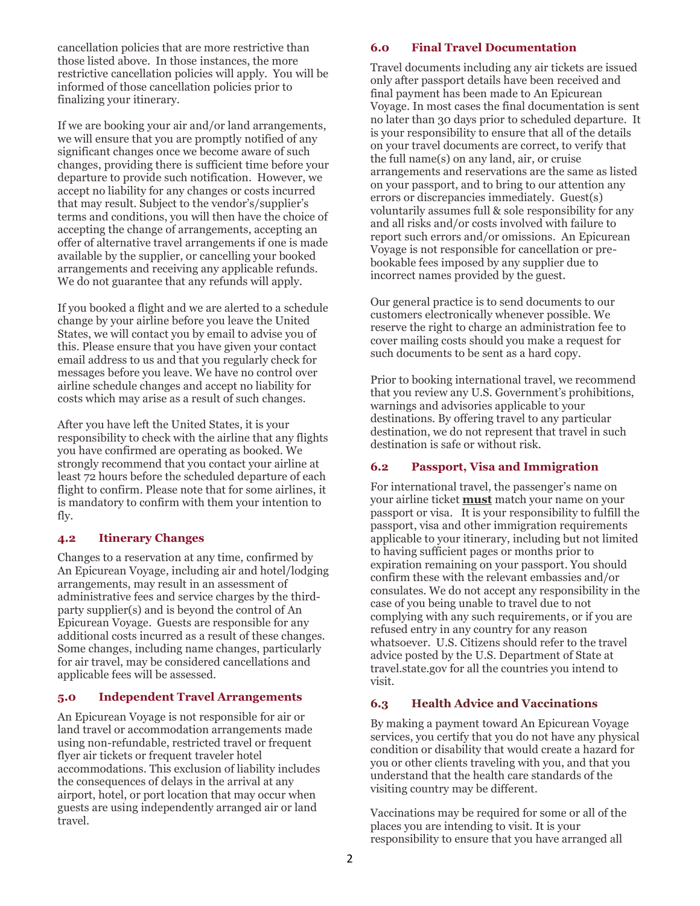cancellation policies that are more restrictive than those listed above. In those instances, the more restrictive cancellation policies will apply. You will be informed of those cancellation policies prior to finalizing your itinerary.

If we are booking your air and/or land arrangements, we will ensure that you are promptly notified of any significant changes once we become aware of such changes, providing there is sufficient time before your departure to provide such notification. However, we accept no liability for any changes or costs incurred that may result. Subject to the vendor's/supplier's terms and conditions, you will then have the choice of accepting the change of arrangements, accepting an offer of alternative travel arrangements if one is made available by the supplier, or cancelling your booked arrangements and receiving any applicable refunds. We do not guarantee that any refunds will apply.

If you booked a flight and we are alerted to a schedule change by your airline before you leave the United States, we will contact you by email to advise you of this. Please ensure that you have given your contact email address to us and that you regularly check for messages before you leave. We have no control over airline schedule changes and accept no liability for costs which may arise as a result of such changes.

After you have left the United States, it is your responsibility to check with the airline that any flights you have confirmed are operating as booked. We strongly recommend that you contact your airline at least 72 hours before the scheduled departure of each flight to confirm. Please note that for some airlines, it is mandatory to confirm with them your intention to fly.

#### **4.2 Itinerary Changes**

Changes to a reservation at any time, confirmed by An Epicurean Voyage, including air and hotel/lodging arrangements, may result in an assessment of administrative fees and service charges by the thirdparty supplier(s) and is beyond the control of An Epicurean Voyage. Guests are responsible for any additional costs incurred as a result of these changes. Some changes, including name changes, particularly for air travel, may be considered cancellations and applicable fees will be assessed.

#### **5.0 Independent Travel Arrangements**

An Epicurean Voyage is not responsible for air or land travel or accommodation arrangements made using non-refundable, restricted travel or frequent flyer air tickets or frequent traveler hotel accommodations. This exclusion of liability includes the consequences of delays in the arrival at any airport, hotel, or port location that may occur when guests are using independently arranged air or land travel.

#### **6.0 Final Travel Documentation**

Travel documents including any air tickets are issued only after passport details have been received and final payment has been made to An Epicurean Voyage. In most cases the final documentation is sent no later than 30 days prior to scheduled departure. It is your responsibility to ensure that all of the details on your travel documents are correct, to verify that the full name(s) on any land, air, or cruise arrangements and reservations are the same as listed on your passport, and to bring to our attention any errors or discrepancies immediately. Guest(s) voluntarily assumes full & sole responsibility for any and all risks and/or costs involved with failure to report such errors and/or omissions. An Epicurean Voyage is not responsible for cancellation or prebookable fees imposed by any supplier due to incorrect names provided by the guest.

Our general practice is to send documents to our customers electronically whenever possible. We reserve the right to charge an administration fee to cover mailing costs should you make a request for such documents to be sent as a hard copy.

Prior to booking international travel, we recommend that you review any U.S. Government's prohibitions, warnings and advisories applicable to your destinations. By offering travel to any particular destination, we do not represent that travel in such destination is safe or without risk.

#### **6.2 Passport, Visa and Immigration**

For international travel, the passenger's name on your airline ticket **must** match your name on your passport or visa. It is your responsibility to fulfill the passport, visa and other immigration requirements applicable to your itinerary, including but not limited to having sufficient pages or months prior to expiration remaining on your passport. You should confirm these with the relevant embassies and/or consulates. We do not accept any responsibility in the case of you being unable to travel due to not complying with any such requirements, or if you are refused entry in any country for any reason whatsoever. U.S. Citizens should refer to the travel advice posted by the U.S. Department of State at travel.state.gov for all the countries you intend to visit.

#### **6.3 Health Advice and Vaccinations**

By making a payment toward An Epicurean Voyage services, you certify that you do not have any physical condition or disability that would create a hazard for you or other clients traveling with you, and that you understand that the health care standards of the visiting country may be different.

Vaccinations may be required for some or all of the places you are intending to visit. It is your responsibility to ensure that you have arranged all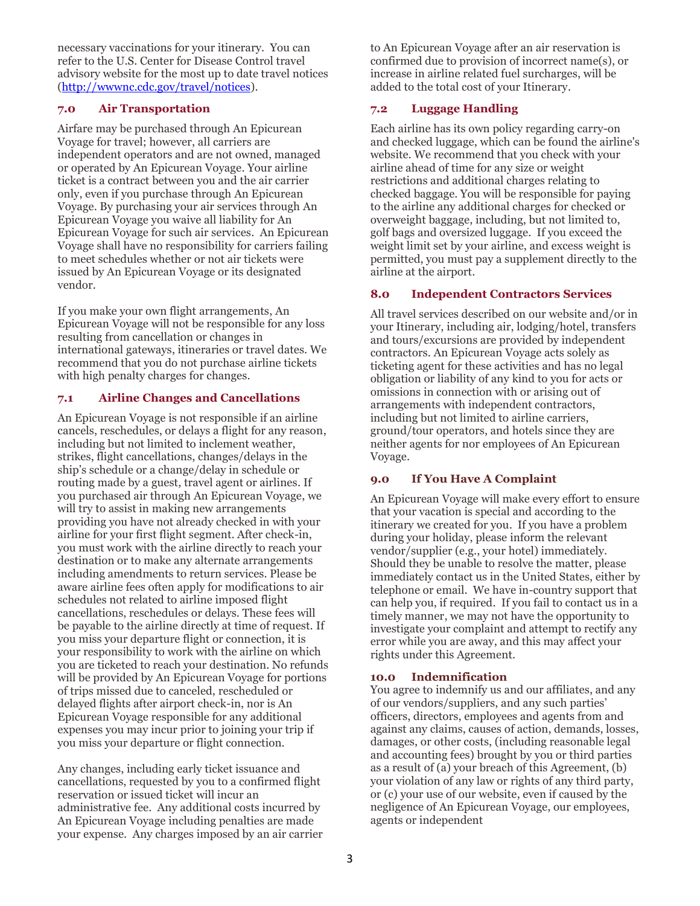necessary vaccinations for your itinerary. You can refer to the U.S. Center for Disease Control travel advisory website for the most up to date travel notices [\(http://wwwnc.cdc.gov/travel/notices\)](http://wwwnc.cdc.gov/travel/notices).

#### **7.0 Air Transportation**

Airfare may be purchased through An Epicurean Voyage for travel; however, all carriers are independent operators and are not owned, managed or operated by An Epicurean Voyage. Your airline ticket is a contract between you and the air carrier only, even if you purchase through An Epicurean Voyage. By purchasing your air services through An Epicurean Voyage you waive all liability for An Epicurean Voyage for such air services. An Epicurean Voyage shall have no responsibility for carriers failing to meet schedules whether or not air tickets were issued by An Epicurean Voyage or its designated vendor.

If you make your own flight arrangements, An Epicurean Voyage will not be responsible for any loss resulting from cancellation or changes in international gateways, itineraries or travel dates. We recommend that you do not purchase airline tickets with high penalty charges for changes.

#### **7.1 Airline Changes and Cancellations**

An Epicurean Voyage is not responsible if an airline cancels, reschedules, or delays a flight for any reason, including but not limited to inclement weather, strikes, flight cancellations, changes/delays in the ship's schedule or a change/delay in schedule or routing made by a guest, travel agent or airlines. If you purchased air through An Epicurean Voyage, we will try to assist in making new arrangements providing you have not already checked in with your airline for your first flight segment. After check-in, you must work with the airline directly to reach your destination or to make any alternate arrangements including amendments to return services. Please be aware airline fees often apply for modifications to air schedules not related to airline imposed flight cancellations, reschedules or delays. These fees will be payable to the airline directly at time of request. If you miss your departure flight or connection, it is your responsibility to work with the airline on which you are ticketed to reach your destination. No refunds will be provided by An Epicurean Voyage for portions of trips missed due to canceled, rescheduled or delayed flights after airport check-in, nor is An Epicurean Voyage responsible for any additional expenses you may incur prior to joining your trip if you miss your departure or flight connection.

Any changes, including early ticket issuance and cancellations, requested by you to a confirmed flight reservation or issued ticket will incur an administrative fee. Any additional costs incurred by An Epicurean Voyage including penalties are made your expense. Any charges imposed by an air carrier to An Epicurean Voyage after an air reservation is confirmed due to provision of incorrect name(s), or increase in airline related fuel surcharges, will be added to the total cost of your Itinerary.

## **7.2 Luggage Handling**

Each airline has its own policy regarding carry-on and checked luggage, which can be found the airline's website. We recommend that you check with your airline ahead of time for any size or weight restrictions and additional charges relating to checked baggage. You will be responsible for paying to the airline any additional charges for checked or overweight baggage, including, but not limited to, golf bags and oversized luggage. If you exceed the weight limit set by your airline, and excess weight is permitted, you must pay a supplement directly to the airline at the airport.

#### **8.0 Independent Contractors Services**

All travel services described on our website and/or in your Itinerary, including air, lodging/hotel, transfers and tours/excursions are provided by independent contractors. An Epicurean Voyage acts solely as ticketing agent for these activities and has no legal obligation or liability of any kind to you for acts or omissions in connection with or arising out of arrangements with independent contractors, including but not limited to airline carriers, ground/tour operators, and hotels since they are neither agents for nor employees of An Epicurean Voyage.

#### **9.0 If You Have A Complaint**

An Epicurean Voyage will make every effort to ensure that your vacation is special and according to the itinerary we created for you. If you have a problem during your holiday, please inform the relevant vendor/supplier (e.g., your hotel) immediately. Should they be unable to resolve the matter, please immediately contact us in the United States, either by telephone or email. We have in-country support that can help you, if required. If you fail to contact us in a timely manner, we may not have the opportunity to investigate your complaint and attempt to rectify any error while you are away, and this may affect your rights under this Agreement.

#### **10.0 Indemnification**

You agree to indemnify us and our affiliates, and any of our vendors/suppliers, and any such parties' officers, directors, employees and agents from and against any claims, causes of action, demands, losses, damages, or other costs, (including reasonable legal and accounting fees) brought by you or third parties as a result of (a) your breach of this Agreement, (b) your violation of any law or rights of any third party, or (c) your use of our website, even if caused by the negligence of An Epicurean Voyage, our employees, agents or independent